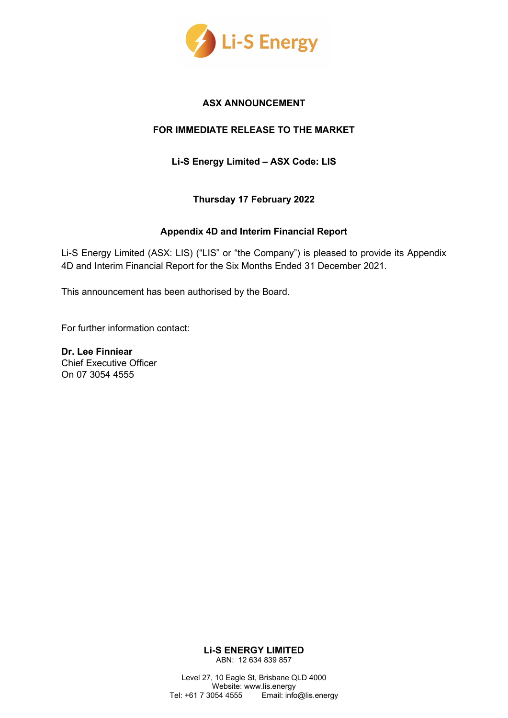

#### **ASX ANNOUNCEMENT**

#### **FOR IMMEDIATE RELEASE TO THE MARKET**

**Li-S Energy Limited – ASX Code: LIS**

**Thursday 17 February 2022**

#### **Appendix 4D and Interim Financial Report**

Li-S Energy Limited (ASX: LIS) ("LIS" or "the Company") is pleased to provide its Appendix 4D and Interim Financial Report for the Six Months Ended 31 December 2021.

This announcement has been authorised by the Board.

For further information contact:

**Dr. Lee Finniear**  Chief Executive Officer On 07 3054 4555

> **Li-S ENERGY LIMITED** ABN: 12 634 839 857

Level 27, 10 Eagle St, Brisbane QLD 4000 Website: www.lis.energy Tel: +61 7 3054 4555 Email: info@lis.energy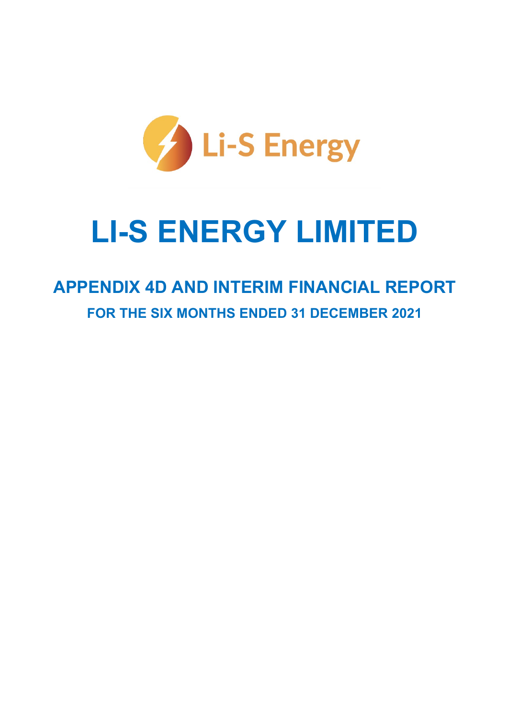

# **LI-S ENERGY LIMITED**

# **APPENDIX 4D AND INTERIM FINANCIAL REPORT FOR THE SIX MONTHS ENDED 31 DECEMBER 2021**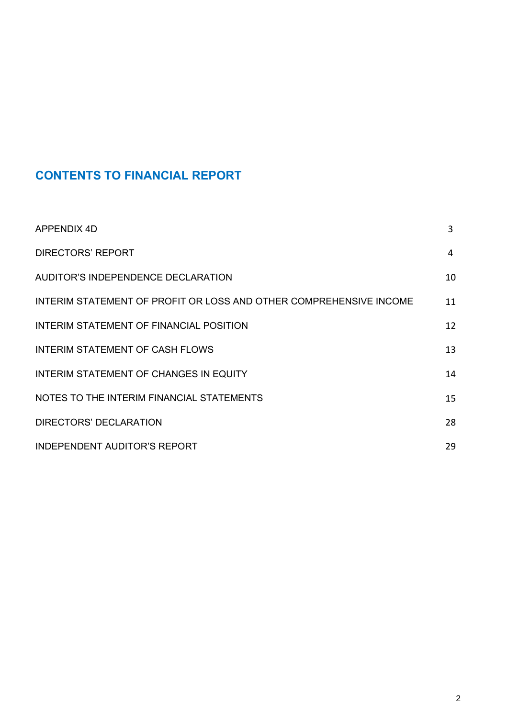# **CONTENTS TO FINANCIAL REPORT**

| APPENDIX 4D                                                        | 3  |
|--------------------------------------------------------------------|----|
| <b>DIRECTORS' REPORT</b>                                           | 4  |
| AUDITOR'S INDEPENDENCE DECLARATION                                 | 10 |
| INTERIM STATEMENT OF PROFIT OR LOSS AND OTHER COMPREHENSIVE INCOME | 11 |
| INTERIM STATEMENT OF FINANCIAL POSITION                            | 12 |
| <b>INTERIM STATEMENT OF CASH FLOWS</b>                             | 13 |
| <b>INTERIM STATEMENT OF CHANGES IN EQUITY</b>                      | 14 |
| NOTES TO THE INTERIM FINANCIAL STATEMENTS                          | 15 |
| DIRECTORS' DECLARATION                                             | 28 |
| <b>INDEPENDENT AUDITOR'S REPORT</b>                                | 29 |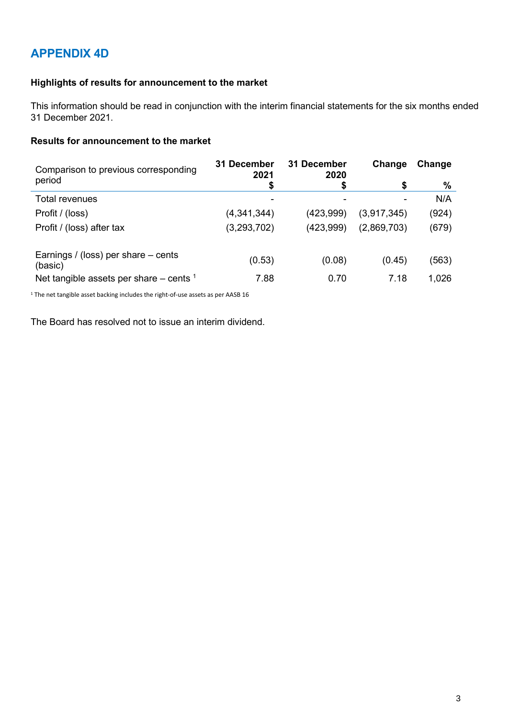# **APPENDIX 4D**

#### **Highlights of results for announcement to the market**

This information should be read in conjunction with the interim financial statements for the six months ended 31 December 2021.

#### **Results for announcement to the market**

| Comparison to previous corresponding           | 31 December<br>2021 | 31 December<br>2020 | Change      | Change |
|------------------------------------------------|---------------------|---------------------|-------------|--------|
| period                                         | \$                  |                     | \$          | %      |
| Total revenues                                 | ۰                   |                     |             | N/A    |
| Profit / (loss)                                | (4,341,344)         | (423, 999)          | (3,917,345) | (924)  |
| Profit / (loss) after tax                      | (3,293,702)         | (423,999)           | (2,869,703) | (679)  |
| Earnings / (loss) per share – cents<br>(basic) | (0.53)              | (0.08)              | (0.45)      | (563)  |
| Net tangible assets per share $-$ cents $1$    | 7.88                | 0.70                | 7.18        | 1,026  |

<sup>1</sup> The net tangible asset backing includes the right-of-use assets as per AASB 16

The Board has resolved not to issue an interim dividend.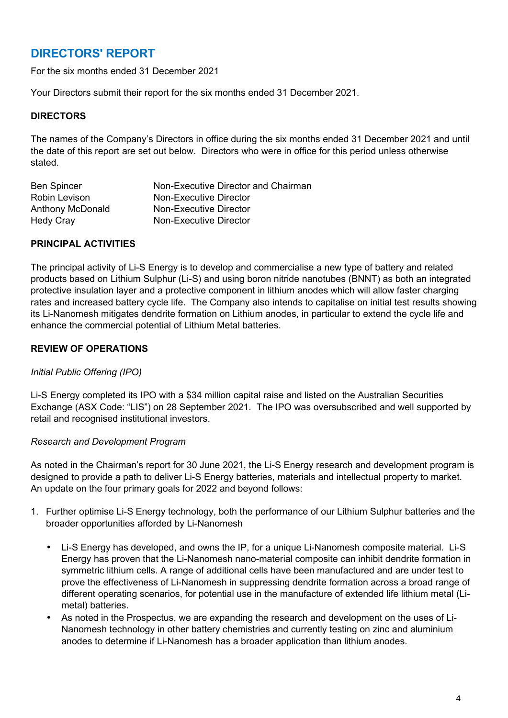### **DIRECTORS' REPORT**

For the six months ended 31 December 2021

Your Directors submit their report for the six months ended 31 December 2021.

#### **DIRECTORS**

The names of the Company's Directors in office during the six months ended 31 December 2021 and until the date of this report are set out below. Directors who were in office for this period unless otherwise stated.

| <b>Ben Spincer</b> | Non-Executive Director and Chairman |
|--------------------|-------------------------------------|
| Robin Levison      | Non-Executive Director              |
| Anthony McDonald   | Non-Executive Director              |
| <b>Hedy Cray</b>   | Non-Executive Director              |

#### **PRINCIPAL ACTIVITIES**

The principal activity of Li-S Energy is to develop and commercialise a new type of battery and related products based on Lithium Sulphur (Li-S) and using boron nitride nanotubes (BNNT) as both an integrated protective insulation layer and a protective component in lithium anodes which will allow faster charging rates and increased battery cycle life. The Company also intends to capitalise on initial test results showing its Li-Nanomesh mitigates dendrite formation on Lithium anodes, in particular to extend the cycle life and enhance the commercial potential of Lithium Metal batteries.

#### **REVIEW OF OPERATIONS**

#### *Initial Public Offering (IPO)*

Li-S Energy completed its IPO with a \$34 million capital raise and listed on the Australian Securities Exchange (ASX Code: "LIS") on 28 September 2021. The IPO was oversubscribed and well supported by retail and recognised institutional investors.

#### *Research and Development Program*

As noted in the Chairman's report for 30 June 2021, the Li-S Energy research and development program is designed to provide a path to deliver Li-S Energy batteries, materials and intellectual property to market. An update on the four primary goals for 2022 and beyond follows:

- 1. Further optimise Li-S Energy technology, both the performance of our Lithium Sulphur batteries and the broader opportunities afforded by Li-Nanomesh
	- Li-S Energy has developed, and owns the IP, for a unique Li-Nanomesh composite material. Li-S Energy has proven that the Li-Nanomesh nano-material composite can inhibit dendrite formation in symmetric lithium cells. A range of additional cells have been manufactured and are under test to prove the effectiveness of Li-Nanomesh in suppressing dendrite formation across a broad range of different operating scenarios, for potential use in the manufacture of extended life lithium metal (Limetal) batteries.
	- As noted in the Prospectus, we are expanding the research and development on the uses of Li-Nanomesh technology in other battery chemistries and currently testing on zinc and aluminium anodes to determine if Li-Nanomesh has a broader application than lithium anodes.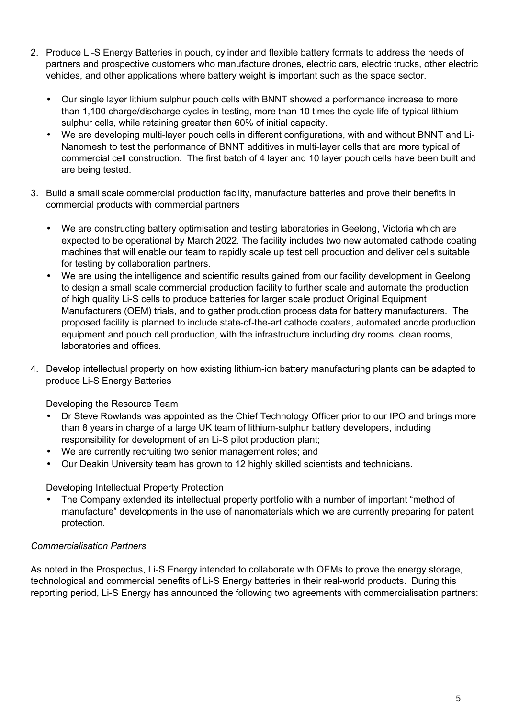- 2. Produce Li-S Energy Batteries in pouch, cylinder and flexible battery formats to address the needs of partners and prospective customers who manufacture drones, electric cars, electric trucks, other electric vehicles, and other applications where battery weight is important such as the space sector.
	- Our single layer lithium sulphur pouch cells with BNNT showed a performance increase to more than 1,100 charge/discharge cycles in testing, more than 10 times the cycle life of typical lithium sulphur cells, while retaining greater than 60% of initial capacity.
	- We are developing multi-layer pouch cells in different configurations, with and without BNNT and Li-Nanomesh to test the performance of BNNT additives in multi-layer cells that are more typical of commercial cell construction. The first batch of 4 layer and 10 layer pouch cells have been built and are being tested.
- 3. Build a small scale commercial production facility, manufacture batteries and prove their benefits in commercial products with commercial partners
	- We are constructing battery optimisation and testing laboratories in Geelong, Victoria which are expected to be operational by March 2022. The facility includes two new automated cathode coating machines that will enable our team to rapidly scale up test cell production and deliver cells suitable for testing by collaboration partners.
	- We are using the intelligence and scientific results gained from our facility development in Geelong to design a small scale commercial production facility to further scale and automate the production of high quality Li-S cells to produce batteries for larger scale product Original Equipment Manufacturers (OEM) trials, and to gather production process data for battery manufacturers. The proposed facility is planned to include state-of-the-art cathode coaters, automated anode production equipment and pouch cell production, with the infrastructure including dry rooms, clean rooms, laboratories and offices.
- 4. Develop intellectual property on how existing lithium-ion battery manufacturing plants can be adapted to produce Li-S Energy Batteries

Developing the Resource Team

- Dr Steve Rowlands was appointed as the Chief Technology Officer prior to our IPO and brings more than 8 years in charge of a large UK team of lithium-sulphur battery developers, including responsibility for development of an Li-S pilot production plant;
- We are currently recruiting two senior management roles; and
- Our Deakin University team has grown to 12 highly skilled scientists and technicians.

Developing Intellectual Property Protection

• The Company extended its intellectual property portfolio with a number of important "method of manufacture" developments in the use of nanomaterials which we are currently preparing for patent protection.

#### *Commercialisation Partners*

As noted in the Prospectus, Li-S Energy intended to collaborate with OEMs to prove the energy storage, technological and commercial benefits of Li-S Energy batteries in their real-world products. During this reporting period, Li-S Energy has announced the following two agreements with commercialisation partners: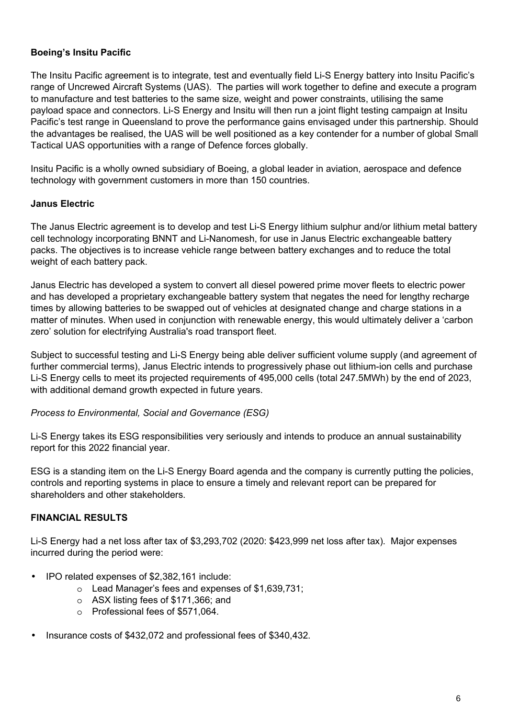#### **Boeing's Insitu Pacific**

The Insitu Pacific agreement is to integrate, test and eventually field Li-S Energy battery into Insitu Pacific's range of Uncrewed Aircraft Systems (UAS). The parties will work together to define and execute a program to manufacture and test batteries to the same size, weight and power constraints, utilising the same payload space and connectors. Li-S Energy and Insitu will then run a joint flight testing campaign at Insitu Pacific's test range in Queensland to prove the performance gains envisaged under this partnership. Should the advantages be realised, the UAS will be well positioned as a key contender for a number of global Small Tactical UAS opportunities with a range of Defence forces globally.

Insitu Pacific is a wholly owned subsidiary of Boeing, a global leader in aviation, aerospace and defence technology with government customers in more than 150 countries.

#### **Janus Electric**

The Janus Electric agreement is to develop and test Li-S Energy lithium sulphur and/or lithium metal battery cell technology incorporating BNNT and Li-Nanomesh, for use in Janus Electric exchangeable battery packs. The objectives is to increase vehicle range between battery exchanges and to reduce the total weight of each battery pack.

Janus Electric has developed a system to convert all diesel powered prime mover fleets to electric power and has developed a proprietary exchangeable battery system that negates the need for lengthy recharge times by allowing batteries to be swapped out of vehicles at designated change and charge stations in a matter of minutes. When used in conjunction with renewable energy, this would ultimately deliver a 'carbon zero' solution for electrifying Australia's road transport fleet.

Subject to successful testing and Li-S Energy being able deliver sufficient volume supply (and agreement of further commercial terms), Janus Electric intends to progressively phase out lithium-ion cells and purchase Li-S Energy cells to meet its projected requirements of 495,000 cells (total 247.5MWh) by the end of 2023, with additional demand growth expected in future years.

#### *Process to Environmental, Social and Governance (ESG)*

Li-S Energy takes its ESG responsibilities very seriously and intends to produce an annual sustainability report for this 2022 financial year.

ESG is a standing item on the Li-S Energy Board agenda and the company is currently putting the policies, controls and reporting systems in place to ensure a timely and relevant report can be prepared for shareholders and other stakeholders.

#### **FINANCIAL RESULTS**

Li-S Energy had a net loss after tax of \$3,293,702 (2020: \$423,999 net loss after tax). Major expenses incurred during the period were:

- IPO related expenses of \$2,382,161 include:
	- o Lead Manager's fees and expenses of \$1,639,731;
	- o ASX listing fees of \$171,366; and
	- o Professional fees of \$571,064.
- Insurance costs of \$432,072 and professional fees of \$340,432.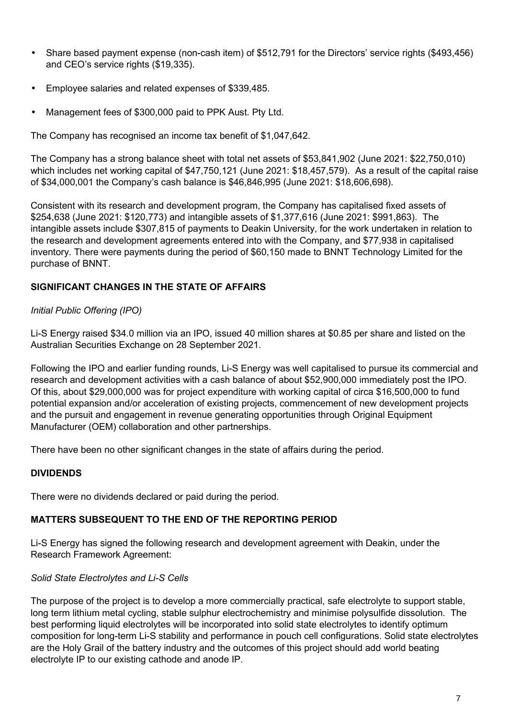- Share based payment expense (non-cash item) of \$512,791 for the Directors' service rights (\$493,456) and CEO's service rights (\$19,335).
- Employee salaries and related expenses of \$339,485.
- Management fees of \$300,000 paid to PPK Aust. Pty Ltd.

The Company has recognised an income tax benefit of \$1,047,642.

The Company has a strong balance sheet with total net assets of \$53,841,902 (June 2021: \$22,750,010) which includes net working capital of \$47,750,121 (June 2021: \$18,457,579). As a result of the capital raise of \$34,000,001 the Company's cash balance is \$46,846,995 (June 2021: \$18,606,698).

Consistent with its research and development program, the Company has capitalised fixed assets of \$254,638 (June 2021: \$120,773) and intangible assets of \$1,377,616 (June 2021: \$991,863). The intangible assets include \$307,815 of payments to Deakin University, for the work undertaken in relation to the research and development agreements entered into with the Company, and \$77,938 in capitalised inventory. There were payments during the period of \$60,150 made to BNNT Technology Limited for the purchase of BNNT.

#### **SIGNIFICANT CHANGES IN THE STATE OF AFFAIRS**

#### *Initial Public Offering (IPO)*

Li-S Energy raised \$34.0 million via an IPO, issued 40 million shares at \$0.85 per share and listed on the Australian Securities Exchange on 28 September 2021.

Following the IPO and earlier funding rounds, Li-S Energy was well capitalised to pursue its commercial and research and development activities with a cash balance of about \$52,900,000 immediately post the IPO. Of this, about \$29,000,000 was for project expenditure with working capital of circa \$16,500,000 to fund potential expansion and/or acceleration of existing projects, commencement of new development projects and the pursuit and engagement in revenue generating opportunities through Original Equipment Manufacturer (OEM) collaboration and other partnerships.

There have been no other significant changes in the state of affairs during the period.

#### **DIVIDENDS**

There were no dividends declared or paid during the period.

#### **MATTERS SUBSEQUENT TO THE END OF THE REPORTING PERIOD**

Li-S Energy has signed the following research and development agreement with Deakin, under the Research Framework Agreement:

#### *Solid State Electrolytes and Li-S Cells*

The purpose of the project is to develop a more commercially practical, safe electrolyte to support stable, long term lithium metal cycling, stable sulphur electrochemistry and minimise polysulfide dissolution. The best performing liquid electrolytes will be incorporated into solid state electrolytes to identify optimum composition for long-term Li-S stability and performance in pouch cell configurations. Solid state electrolytes are the Holy Grail of the battery industry and the outcomes of this project should add world beating electrolyte IP to our existing cathode and anode IP.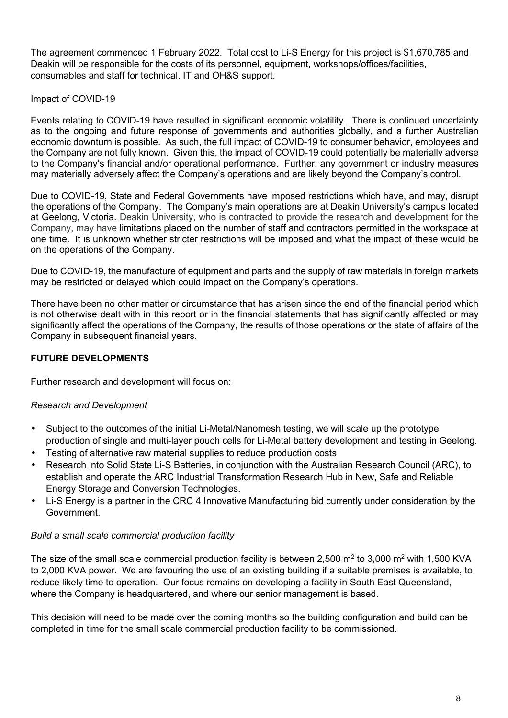The agreement commenced 1 February 2022. Total cost to Li-S Energy for this project is \$1,670,785 and Deakin will be responsible for the costs of its personnel, equipment, workshops/offices/facilities, consumables and staff for technical, IT and OH&S support.

#### Impact of COVID-19

Events relating to COVID-19 have resulted in significant economic volatility. There is continued uncertainty as to the ongoing and future response of governments and authorities globally, and a further Australian economic downturn is possible. As such, the full impact of COVID-19 to consumer behavior, employees and the Company are not fully known. Given this, the impact of COVID-19 could potentially be materially adverse to the Company's financial and/or operational performance. Further, any government or industry measures may materially adversely affect the Company's operations and are likely beyond the Company's control.

Due to COVID-19, State and Federal Governments have imposed restrictions which have, and may, disrupt the operations of the Company. The Company's main operations are at Deakin University's campus located at Geelong, Victoria. Deakin University, who is contracted to provide the research and development for the Company, may have limitations placed on the number of staff and contractors permitted in the workspace at one time. It is unknown whether stricter restrictions will be imposed and what the impact of these would be on the operations of the Company.

Due to COVID-19, the manufacture of equipment and parts and the supply of raw materials in foreign markets may be restricted or delayed which could impact on the Company's operations.

There have been no other matter or circumstance that has arisen since the end of the financial period which is not otherwise dealt with in this report or in the financial statements that has significantly affected or may significantly affect the operations of the Company, the results of those operations or the state of affairs of the Company in subsequent financial years.

#### **FUTURE DEVELOPMENTS**

Further research and development will focus on:

#### *Research and Development*

- Subject to the outcomes of the initial Li-Metal/Nanomesh testing, we will scale up the prototype production of single and multi-layer pouch cells for Li-Metal battery development and testing in Geelong.
- Testing of alternative raw material supplies to reduce production costs
- Research into Solid State Li-S Batteries, in conjunction with the Australian Research Council (ARC), to establish and operate the ARC Industrial Transformation Research Hub in New, Safe and Reliable Energy Storage and Conversion Technologies.
- Li-S Energy is a partner in the CRC 4 Innovative Manufacturing bid currently under consideration by the Government.

#### *Build a small scale commercial production facility*

The size of the small scale commercial production facility is between 2,500 m<sup>2</sup> to 3,000 m<sup>2</sup> with 1,500 KVA to 2,000 KVA power. We are favouring the use of an existing building if a suitable premises is available, to reduce likely time to operation. Our focus remains on developing a facility in South East Queensland, where the Company is headquartered, and where our senior management is based.

This decision will need to be made over the coming months so the building configuration and build can be completed in time for the small scale commercial production facility to be commissioned.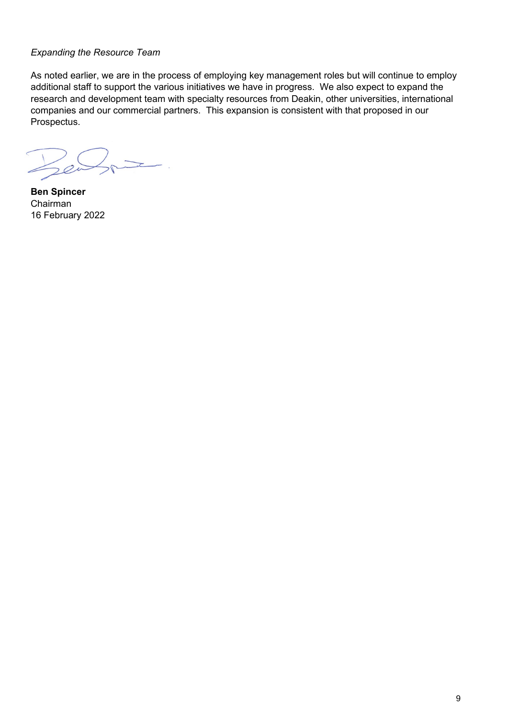#### *Expanding the Resource Team*

As noted earlier, we are in the process of employing key management roles but will continue to employ additional staff to support the various initiatives we have in progress. We also expect to expand the research and development team with specialty resources from Deakin, other universities, international companies and our commercial partners. This expansion is consistent with that proposed in our Prospectus.

 $\overline{\phantom{a}}$ .  $2e^{\frac{1}{2}}$ 

**Ben Spincer**  Chairman 16 February 2022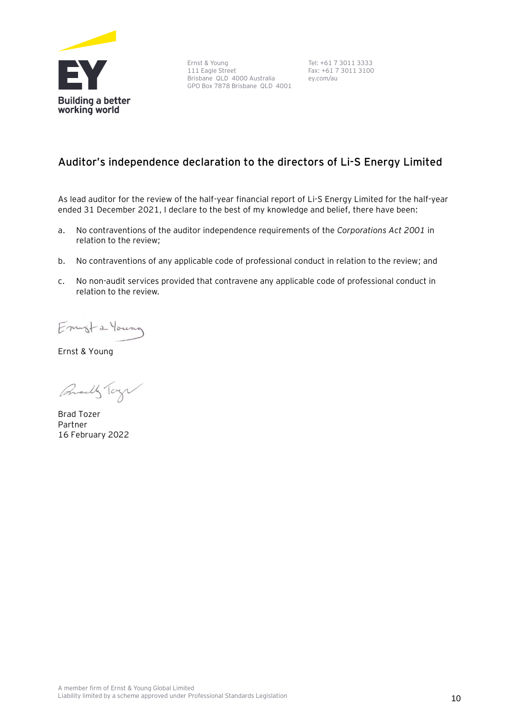

Ernst & Young 111 Eagle Street Brisbane QLD 4000 Australia GPO Box 7878 Brisbane QLD 4001

Tel: +61 7 3011 3333 Fax: +61 7 3011 3100 ey.com/au

#### **Auditor's independence declaration to the directors of Li-S Energy Limited**

As lead auditor for the review of the half-year financial report of Li-S Energy Limited for the half-year ended 31 December 2021, I declare to the best of my knowledge and belief, there have been:

- a. No contraventions of the auditor independence requirements of the *Corporations Act 2001* in relation to the review;
- b. No contraventions of any applicable code of professional conduct in relation to the review; and
- c. No non-audit services provided that contravene any applicable code of professional conduct in relation to the review.

Emista Young

Ernst & Young

Qually Tay

Brad Tozer Partner 16 February 2022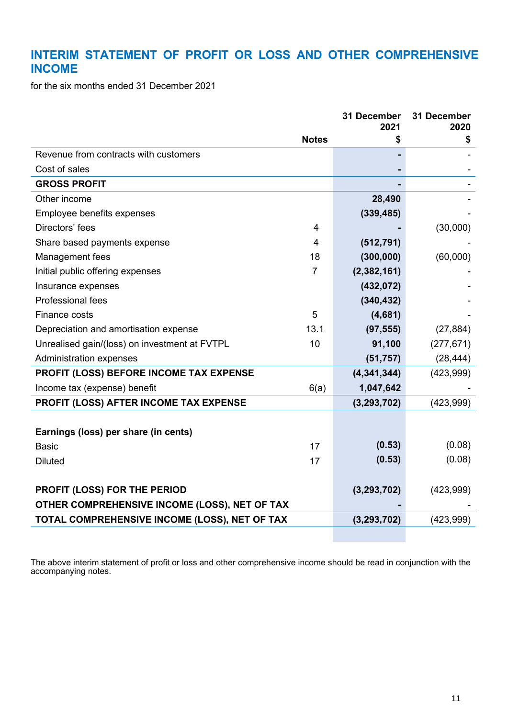# **INTERIM STATEMENT OF PROFIT OR LOSS AND OTHER COMPREHENSIVE INCOME**

for the six months ended 31 December 2021

|                                                     | 31 December<br>2021 | 31 December<br>2020 |
|-----------------------------------------------------|---------------------|---------------------|
| <b>Notes</b>                                        |                     | \$                  |
| Revenue from contracts with customers               |                     |                     |
| Cost of sales                                       |                     |                     |
| <b>GROSS PROFIT</b>                                 |                     |                     |
| Other income                                        | 28,490              |                     |
| Employee benefits expenses                          | (339, 485)          |                     |
| Directors' fees<br>4                                |                     | (30,000)            |
| Share based payments expense<br>4                   | (512, 791)          |                     |
| 18<br>Management fees                               | (300, 000)          | (60,000)            |
| $\overline{7}$<br>Initial public offering expenses  | (2, 382, 161)       |                     |
| Insurance expenses                                  | (432, 072)          |                     |
| Professional fees                                   | (340, 432)          |                     |
| 5<br><b>Finance costs</b>                           | (4,681)             |                     |
| 13.1<br>Depreciation and amortisation expense       | (97, 555)           | (27, 884)           |
| 10<br>Unrealised gain/(loss) on investment at FVTPL | 91,100              | (277, 671)          |
| <b>Administration expenses</b>                      | (51, 757)           | (28, 444)           |
| PROFIT (LOSS) BEFORE INCOME TAX EXPENSE             | (4, 341, 344)       | (423,999)           |
| Income tax (expense) benefit<br>6(a)                | 1,047,642           |                     |
| PROFIT (LOSS) AFTER INCOME TAX EXPENSE              | (3, 293, 702)       | (423,999)           |
|                                                     |                     |                     |
| Earnings (loss) per share (in cents)                |                     |                     |
| 17<br><b>Basic</b>                                  | (0.53)              | (0.08)              |
| <b>Diluted</b><br>17                                | (0.53)              | (0.08)              |
|                                                     |                     |                     |
| PROFIT (LOSS) FOR THE PERIOD                        | (3, 293, 702)       | (423,999)           |
| OTHER COMPREHENSIVE INCOME (LOSS), NET OF TAX       |                     |                     |
| TOTAL COMPREHENSIVE INCOME (LOSS), NET OF TAX       | (3, 293, 702)       | (423,999)           |

The above interim statement of profit or loss and other comprehensive income should be read in conjunction with the accompanying notes.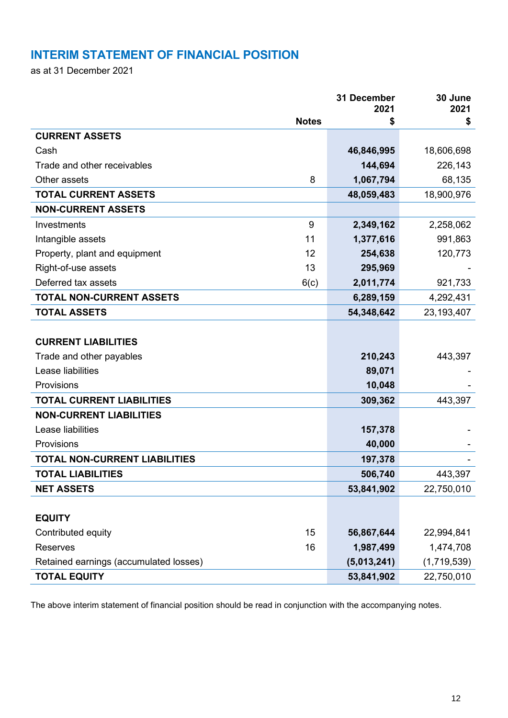# **INTERIM STATEMENT OF FINANCIAL POSITION**

as at 31 December 2021

|                                        |              | 31 December<br>2021 | 30 June<br>2021 |
|----------------------------------------|--------------|---------------------|-----------------|
|                                        | <b>Notes</b> | \$                  | \$              |
| <b>CURRENT ASSETS</b>                  |              |                     |                 |
| Cash                                   |              | 46,846,995          | 18,606,698      |
| Trade and other receivables            |              | 144,694             | 226,143         |
| Other assets                           | 8            | 1,067,794           | 68,135          |
| <b>TOTAL CURRENT ASSETS</b>            |              | 48,059,483          | 18,900,976      |
| <b>NON-CURRENT ASSETS</b>              |              |                     |                 |
| Investments                            | 9            | 2,349,162           | 2,258,062       |
| Intangible assets                      | 11           | 1,377,616           | 991,863         |
| Property, plant and equipment          | 12           | 254,638             | 120,773         |
| Right-of-use assets                    | 13           | 295,969             |                 |
| Deferred tax assets                    | 6(c)         | 2,011,774           | 921,733         |
| <b>TOTAL NON-CURRENT ASSETS</b>        |              | 6,289,159           | 4,292,431       |
| <b>TOTAL ASSETS</b>                    |              | 54,348,642          | 23,193,407      |
|                                        |              |                     |                 |
| <b>CURRENT LIABILITIES</b>             |              |                     |                 |
| Trade and other payables               |              | 210,243             | 443,397         |
| Lease liabilities                      |              | 89,071              |                 |
| Provisions                             |              | 10,048              |                 |
| <b>TOTAL CURRENT LIABILITIES</b>       |              | 309,362             | 443,397         |
| <b>NON-CURRENT LIABILITIES</b>         |              |                     |                 |
| Lease liabilities                      |              | 157,378             |                 |
| Provisions                             |              | 40,000              |                 |
| <b>TOTAL NON-CURRENT LIABILITIES</b>   |              | 197,378             |                 |
| <b>TOTAL LIABILITIES</b>               |              | 506,740             | 443,397         |
| <b>NET ASSETS</b>                      |              | 53,841,902          | 22,750,010      |
|                                        |              |                     |                 |
| <b>EQUITY</b>                          |              |                     |                 |
| Contributed equity                     | 15           | 56,867,644          | 22,994,841      |
| <b>Reserves</b>                        | 16           | 1,987,499           | 1,474,708       |
| Retained earnings (accumulated losses) |              | (5,013,241)         | (1,719,539)     |
| <b>TOTAL EQUITY</b>                    |              | 53,841,902          | 22,750,010      |

The above interim statement of financial position should be read in conjunction with the accompanying notes.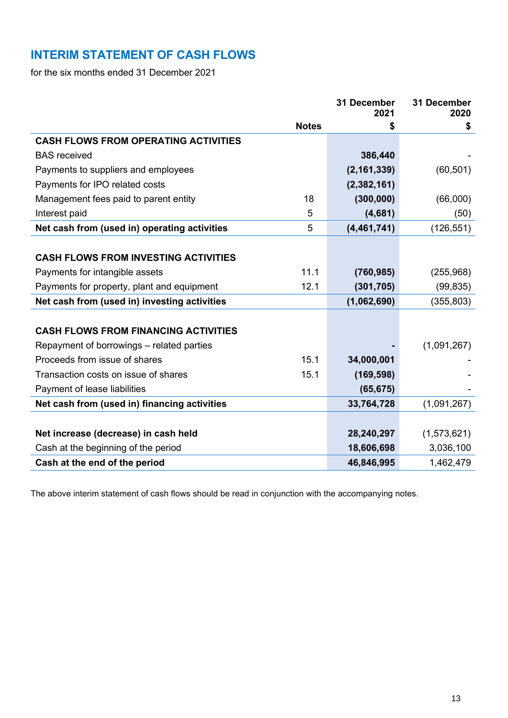# **INTERIM STATEMENT OF CASH FLOWS**

for the six months ended 31 December 2021

|                                              |              | 31 December<br>2021 | 31 December<br>2020 |
|----------------------------------------------|--------------|---------------------|---------------------|
|                                              | <b>Notes</b> | \$                  | \$                  |
| <b>CASH FLOWS FROM OPERATING ACTIVITIES</b>  |              |                     |                     |
| <b>BAS</b> received                          |              | 386,440             |                     |
| Payments to suppliers and employees          |              | (2, 161, 339)       | (60, 501)           |
| Payments for IPO related costs               |              | (2, 382, 161)       |                     |
| Management fees paid to parent entity        | 18           | (300, 000)          | (66,000)            |
| Interest paid                                | 5            | (4,681)             | (50)                |
| Net cash from (used in) operating activities | 5            | (4, 461, 741)       | (126, 551)          |
|                                              |              |                     |                     |
| <b>CASH FLOWS FROM INVESTING ACTIVITIES</b>  |              |                     |                     |
| Payments for intangible assets               | 11.1         | (760, 985)          | (255, 968)          |
| Payments for property, plant and equipment   | 12.1         | (301, 705)          | (99, 835)           |
| Net cash from (used in) investing activities |              | (1,062,690)         | (355, 803)          |
|                                              |              |                     |                     |
| <b>CASH FLOWS FROM FINANCING ACTIVITIES</b>  |              |                     |                     |
| Repayment of borrowings – related parties    |              |                     | (1,091,267)         |
| Proceeds from issue of shares                | 15.1         | 34,000,001          |                     |
| Transaction costs on issue of shares         | 15.1         | (169, 598)          |                     |
| Payment of lease liabilities                 |              | (65, 675)           |                     |
| Net cash from (used in) financing activities |              | 33,764,728          | (1,091,267)         |
|                                              |              |                     |                     |
| Net increase (decrease) in cash held         |              | 28,240,297          | (1,573,621)         |
| Cash at the beginning of the period          |              | 18,606,698          | 3,036,100           |
| Cash at the end of the period                |              | 46,846,995          | 1,462,479           |

The above interim statement of cash flows should be read in conjunction with the accompanying notes.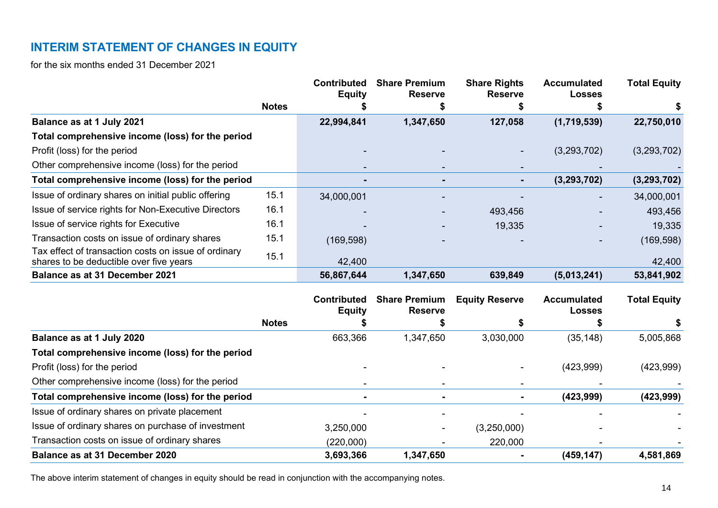# **INTERIM STATEMENT OF CHANGES IN EQUITY**

for the six months ended 31 December 2021

|                                                                                                 |              | <b>Contributed</b><br><b>Equity</b> | <b>Share Premium</b><br><b>Reserve</b> | <b>Share Rights</b><br><b>Reserve</b> | <b>Accumulated</b><br><b>Losses</b> | <b>Total Equity</b> |
|-------------------------------------------------------------------------------------------------|--------------|-------------------------------------|----------------------------------------|---------------------------------------|-------------------------------------|---------------------|
|                                                                                                 | <b>Notes</b> |                                     |                                        |                                       |                                     | P                   |
| Balance as at 1 July 2021                                                                       |              | 22,994,841                          | 1,347,650                              | 127,058                               | (1,719,539)                         | 22,750,010          |
| Total comprehensive income (loss) for the period                                                |              |                                     |                                        |                                       |                                     |                     |
| Profit (loss) for the period                                                                    |              |                                     |                                        |                                       | (3,293,702)                         | (3,293,702)         |
| Other comprehensive income (loss) for the period                                                |              | $\sim$                              | $\sim$                                 | $\overline{\phantom{a}}$              |                                     |                     |
| Total comprehensive income (loss) for the period                                                |              | $\blacksquare$                      |                                        | $\sim$                                | (3, 293, 702)                       | (3, 293, 702)       |
| Issue of ordinary shares on initial public offering                                             | 15.1         | 34,000,001                          |                                        |                                       |                                     | 34,000,001          |
| Issue of service rights for Non-Executive Directors                                             | 16.1         |                                     |                                        | 493,456                               |                                     | 493,456             |
| Issue of service rights for Executive                                                           | 16.1         |                                     |                                        | 19,335                                |                                     | 19,335              |
| Transaction costs on issue of ordinary shares                                                   | 15.1         | (169, 598)                          |                                        |                                       |                                     | (169, 598)          |
| Tax effect of transaction costs on issue of ordinary<br>shares to be deductible over five years | 15.1         | 42,400                              |                                        |                                       |                                     | 42,400              |
| Balance as at 31 December 2021                                                                  |              | 56,867,644                          | 1,347,650                              | 639,849                               | (5,013,241)                         | 53,841,902          |
|                                                                                                 |              |                                     |                                        |                                       |                                     |                     |

|                                                    |              | <b>Contributed</b><br><b>Equity</b> | <b>Share Premium</b><br><b>Reserve</b> | <b>Equity Reserve</b> | <b>Accumulated</b><br><b>Losses</b> | <b>Total Equity</b> |
|----------------------------------------------------|--------------|-------------------------------------|----------------------------------------|-----------------------|-------------------------------------|---------------------|
|                                                    | <b>Notes</b> |                                     |                                        |                       |                                     | \$                  |
| Balance as at 1 July 2020                          |              | 663,366                             | 1,347,650                              | 3,030,000             | (35, 148)                           | 5,005,868           |
| Total comprehensive income (loss) for the period   |              |                                     |                                        |                       |                                     |                     |
| Profit (loss) for the period                       |              |                                     |                                        |                       | (423,999)                           | (423,999)           |
| Other comprehensive income (loss) for the period   |              |                                     |                                        |                       |                                     |                     |
| Total comprehensive income (loss) for the period   |              |                                     | $\blacksquare$                         | $\blacksquare$        | (423, 999)                          | (423, 999)          |
| Issue of ordinary shares on private placement      |              |                                     |                                        |                       |                                     |                     |
| Issue of ordinary shares on purchase of investment |              | 3,250,000                           | ۰                                      | (3,250,000)           |                                     |                     |
| Transaction costs on issue of ordinary shares      |              | (220,000)                           |                                        | 220,000               |                                     |                     |
| <b>Balance as at 31 December 2020</b>              |              | 3,693,366                           | 1,347,650                              | $\blacksquare$        | (459, 147)                          | 4,581,869           |

The above interim statement of changes in equity should be read in conjunction with the accompanying notes.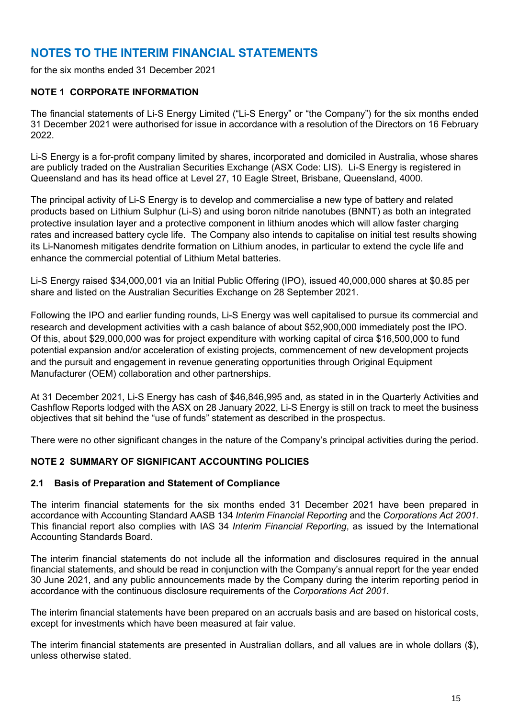# **NOTES TO THE INTERIM FINANCIAL STATEMENTS**

for the six months ended 31 December 2021

#### **NOTE 1 CORPORATE INFORMATION**

The financial statements of Li-S Energy Limited ("Li-S Energy" or "the Company") for the six months ended 31 December 2021 were authorised for issue in accordance with a resolution of the Directors on 16 February 2022.

Li-S Energy is a for-profit company limited by shares, incorporated and domiciled in Australia, whose shares are publicly traded on the Australian Securities Exchange (ASX Code: LIS). Li-S Energy is registered in Queensland and has its head office at Level 27, 10 Eagle Street, Brisbane, Queensland, 4000.

The principal activity of Li-S Energy is to develop and commercialise a new type of battery and related products based on Lithium Sulphur (Li-S) and using boron nitride nanotubes (BNNT) as both an integrated protective insulation layer and a protective component in lithium anodes which will allow faster charging rates and increased battery cycle life. The Company also intends to capitalise on initial test results showing its Li-Nanomesh mitigates dendrite formation on Lithium anodes, in particular to extend the cycle life and enhance the commercial potential of Lithium Metal batteries.

Li-S Energy raised \$34,000,001 via an Initial Public Offering (IPO), issued 40,000,000 shares at \$0.85 per share and listed on the Australian Securities Exchange on 28 September 2021.

Following the IPO and earlier funding rounds, Li-S Energy was well capitalised to pursue its commercial and research and development activities with a cash balance of about \$52,900,000 immediately post the IPO. Of this, about \$29,000,000 was for project expenditure with working capital of circa \$16,500,000 to fund potential expansion and/or acceleration of existing projects, commencement of new development projects and the pursuit and engagement in revenue generating opportunities through Original Equipment Manufacturer (OEM) collaboration and other partnerships.

At 31 December 2021, Li-S Energy has cash of \$46,846,995 and, as stated in in the Quarterly Activities and Cashflow Reports lodged with the ASX on 28 January 2022, Li-S Energy is still on track to meet the business objectives that sit behind the "use of funds" statement as described in the prospectus.

There were no other significant changes in the nature of the Company's principal activities during the period.

#### **NOTE 2 SUMMARY OF SIGNIFICANT ACCOUNTING POLICIES**

#### **2.1 Basis of Preparation and Statement of Compliance**

The interim financial statements for the six months ended 31 December 2021 have been prepared in accordance with Accounting Standard AASB 134 *Interim Financial Reporting* and the *Corporations Act 2001*. This financial report also complies with IAS 34 *Interim Financial Reporting*, as issued by the International Accounting Standards Board.

The interim financial statements do not include all the information and disclosures required in the annual financial statements, and should be read in conjunction with the Company's annual report for the year ended 30 June 2021, and any public announcements made by the Company during the interim reporting period in accordance with the continuous disclosure requirements of the *Corporations Act 2001*.

The interim financial statements have been prepared on an accruals basis and are based on historical costs, except for investments which have been measured at fair value.

The interim financial statements are presented in Australian dollars, and all values are in whole dollars (\$), unless otherwise stated.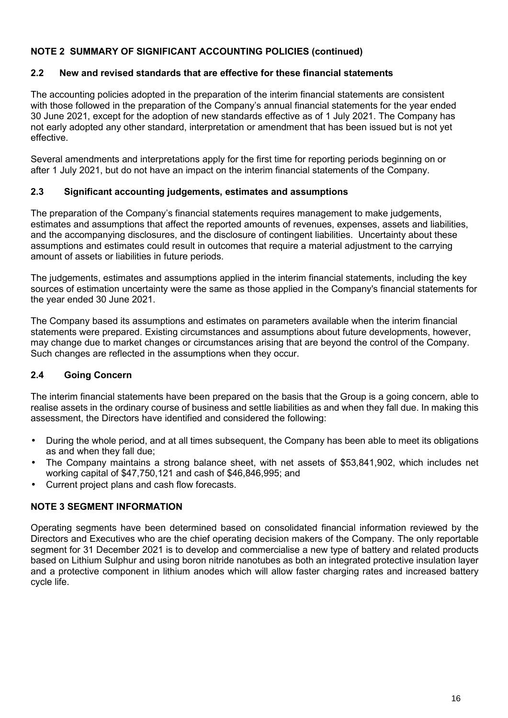#### **NOTE 2 SUMMARY OF SIGNIFICANT ACCOUNTING POLICIES (continued)**

#### **2.2 New and revised standards that are effective for these financial statements**

The accounting policies adopted in the preparation of the interim financial statements are consistent with those followed in the preparation of the Company's annual financial statements for the year ended 30 June 2021, except for the adoption of new standards effective as of 1 July 2021. The Company has not early adopted any other standard, interpretation or amendment that has been issued but is not yet effective.

Several amendments and interpretations apply for the first time for reporting periods beginning on or after 1 July 2021, but do not have an impact on the interim financial statements of the Company.

#### **2.3 Significant accounting judgements, estimates and assumptions**

The preparation of the Company's financial statements requires management to make judgements, estimates and assumptions that affect the reported amounts of revenues, expenses, assets and liabilities, and the accompanying disclosures, and the disclosure of contingent liabilities. Uncertainty about these assumptions and estimates could result in outcomes that require a material adjustment to the carrying amount of assets or liabilities in future periods.

The judgements, estimates and assumptions applied in the interim financial statements, including the key sources of estimation uncertainty were the same as those applied in the Company's financial statements for the year ended 30 June 2021.

The Company based its assumptions and estimates on parameters available when the interim financial statements were prepared. Existing circumstances and assumptions about future developments, however, may change due to market changes or circumstances arising that are beyond the control of the Company. Such changes are reflected in the assumptions when they occur.

#### **2.4 Going Concern**

The interim financial statements have been prepared on the basis that the Group is a going concern, able to realise assets in the ordinary course of business and settle liabilities as and when they fall due. In making this assessment, the Directors have identified and considered the following:

- During the whole period, and at all times subsequent, the Company has been able to meet its obligations as and when they fall due;
- The Company maintains a strong balance sheet, with net assets of \$53,841,902, which includes net working capital of \$47,750,121 and cash of \$46,846,995; and
- Current project plans and cash flow forecasts.

#### **NOTE 3 SEGMENT INFORMATION**

Operating segments have been determined based on consolidated financial information reviewed by the Directors and Executives who are the chief operating decision makers of the Company. The only reportable segment for 31 December 2021 is to develop and commercialise a new type of battery and related products based on Lithium Sulphur and using boron nitride nanotubes as both an integrated protective insulation layer and a protective component in lithium anodes which will allow faster charging rates and increased battery cycle life.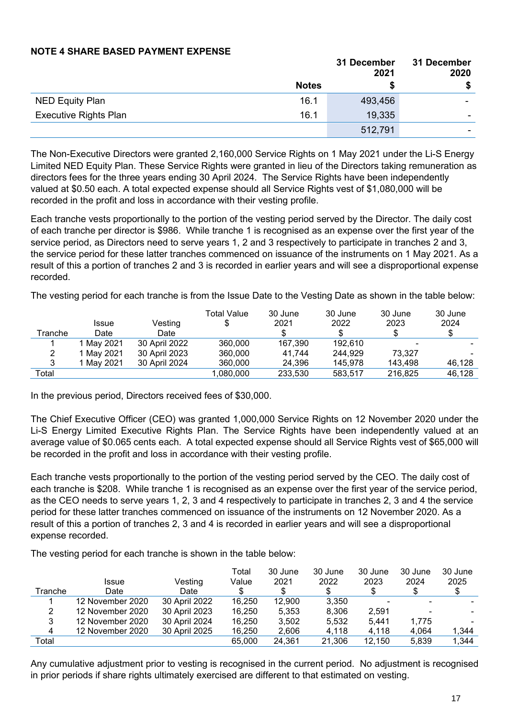#### **NOTE 4 SHARE BASED PAYMENT EXPENSE**

|                              |              | 31 December<br>2021 | 31 December<br>2020 |
|------------------------------|--------------|---------------------|---------------------|
|                              | <b>Notes</b> |                     | \$                  |
| <b>NED Equity Plan</b>       | 16.1         | 493,456             | ۰                   |
| <b>Executive Rights Plan</b> | 16.1         | 19,335              |                     |
|                              |              | 512,791             | -                   |

The Non-Executive Directors were granted 2,160,000 Service Rights on 1 May 2021 under the Li-S Energy Limited NED Equity Plan. These Service Rights were granted in lieu of the Directors taking remuneration as directors fees for the three years ending 30 April 2024. The Service Rights have been independently valued at \$0.50 each. A total expected expense should all Service Rights vest of \$1,080,000 will be recorded in the profit and loss in accordance with their vesting profile.

Each tranche vests proportionally to the portion of the vesting period served by the Director. The daily cost of each tranche per director is \$986. While tranche 1 is recognised as an expense over the first year of the service period, as Directors need to serve years 1, 2 and 3 respectively to participate in tranches 2 and 3, the service period for these latter tranches commenced on issuance of the instruments on 1 May 2021. As a result of this a portion of tranches 2 and 3 is recorded in earlier years and will see a disproportional expense recorded.

The vesting period for each tranche is from the Issue Date to the Vesting Date as shown in the table below:

|         |              |               | Total Value | 30 June | 30 June | 30 June                  | 30 June |
|---------|--------------|---------------|-------------|---------|---------|--------------------------|---------|
|         | <b>Issue</b> | Vesting       |             | 2021    | 2022    | 2023                     | 2024    |
| Tranche | Date         | Date          |             |         |         |                          |         |
|         | 1 Mav 2021   | 30 April 2022 | 360,000     | 167,390 | 192.610 | $\overline{\phantom{0}}$ |         |
| 2       | May 2021     | 30 April 2023 | 360,000     | 41.744  | 244.929 | 73,327                   |         |
| ຈ       | 1 Mav 2021   | 30 April 2024 | 360,000     | 24.396  | 145.978 | 143.498                  | 46.128  |
| Total   |              |               | 1,080,000   | 233,530 | 583,517 | 216.825                  | 46,128  |

In the previous period, Directors received fees of \$30,000.

The Chief Executive Officer (CEO) was granted 1,000,000 Service Rights on 12 November 2020 under the Li-S Energy Limited Executive Rights Plan. The Service Rights have been independently valued at an average value of \$0.065 cents each. A total expected expense should all Service Rights vest of \$65,000 will be recorded in the profit and loss in accordance with their vesting profile.

Each tranche vests proportionally to the portion of the vesting period served by the CEO. The daily cost of each tranche is \$208. While tranche 1 is recognised as an expense over the first year of the service period, as the CEO needs to serve years 1, 2, 3 and 4 respectively to participate in tranches 2, 3 and 4 the service period for these latter tranches commenced on issuance of the instruments on 12 November 2020. As a result of this a portion of tranches 2, 3 and 4 is recorded in earlier years and will see a disproportional expense recorded.

The vesting period for each tranche is shown in the table below:

|         | <b>Issue</b>     | Vesting       | Total<br>Value | 30 June<br>2021 | 30 June<br>2022 | 30 June<br>2023 | 30 June<br>2024 | 30 June<br>2025 |
|---------|------------------|---------------|----------------|-----------------|-----------------|-----------------|-----------------|-----------------|
| Tranche | Date             | Date          |                |                 |                 |                 |                 |                 |
|         | 12 November 2020 | 30 April 2022 | 16,250         | 12.900          | 3,350           |                 |                 |                 |
| 2       | 12 November 2020 | 30 April 2023 | 16,250         | 5,353           | 8,306           | 2.591           |                 |                 |
| 3       | 12 November 2020 | 30 April 2024 | 16.250         | 3,502           | 5,532           | 5.441           | 1,775           |                 |
| 4       | 12 November 2020 | 30 April 2025 | 16,250         | 2,606           | 4,118           | 4.118           | 4.064           | 1.344           |
| Total   |                  |               | 65,000         | 24,361          | 21,306          | 12,150          | 5.839           | 1,344           |

Any cumulative adjustment prior to vesting is recognised in the current period. No adjustment is recognised in prior periods if share rights ultimately exercised are different to that estimated on vesting.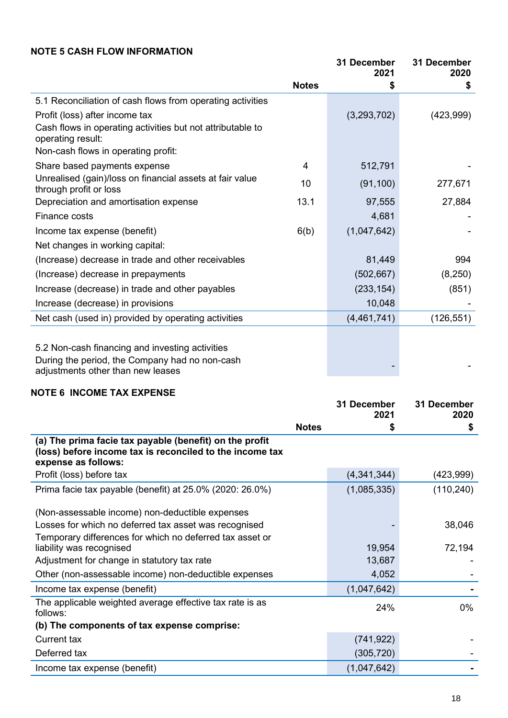#### **NOTE 5 CASH FLOW INFORMATION**

|                                                                                     |              | 31 December<br>2021 | 31 December<br>2020 |
|-------------------------------------------------------------------------------------|--------------|---------------------|---------------------|
|                                                                                     | <b>Notes</b> | S                   | \$                  |
| 5.1 Reconciliation of cash flows from operating activities                          |              |                     |                     |
| Profit (loss) after income tax                                                      |              | (3,293,702)         | (423, 999)          |
| Cash flows in operating activities but not attributable to<br>operating result:     |              |                     |                     |
| Non-cash flows in operating profit:                                                 |              |                     |                     |
| Share based payments expense                                                        | 4            | 512,791             |                     |
| Unrealised (gain)/loss on financial assets at fair value<br>through profit or loss  | 10           | (91, 100)           | 277,671             |
| Depreciation and amortisation expense                                               | 13.1         | 97,555              | 27,884              |
| Finance costs                                                                       |              | 4,681               |                     |
| Income tax expense (benefit)                                                        | 6(b)         | (1,047,642)         |                     |
| Net changes in working capital:                                                     |              |                     |                     |
| (Increase) decrease in trade and other receivables                                  |              | 81,449              | 994                 |
| (Increase) decrease in prepayments                                                  |              | (502, 667)          | (8, 250)            |
| Increase (decrease) in trade and other payables                                     |              | (233, 154)          | (851)               |
| Increase (decrease) in provisions                                                   |              | 10,048              |                     |
| Net cash (used in) provided by operating activities                                 |              | (4,461,741)         | (126, 551)          |
|                                                                                     |              |                     |                     |
| 5.2 Non-cash financing and investing activities                                     |              |                     |                     |
| During the period, the Company had no non-cash<br>adjustments other than new leases |              |                     |                     |

#### **NOTE 6 INCOME TAX EXPENSE**

|                                                                                                                                            |              | 31 December<br>2021 | 31 December<br>2020 |
|--------------------------------------------------------------------------------------------------------------------------------------------|--------------|---------------------|---------------------|
|                                                                                                                                            | <b>Notes</b> | \$                  | \$                  |
| (a) The prima facie tax payable (benefit) on the profit<br>(loss) before income tax is reconciled to the income tax<br>expense as follows: |              |                     |                     |
| Profit (loss) before tax                                                                                                                   |              | (4,341,344)         | (423,999)           |
| Prima facie tax payable (benefit) at 25.0% (2020: 26.0%)                                                                                   |              | (1,085,335)         | (110, 240)          |
| (Non-assessable income) non-deductible expenses                                                                                            |              |                     |                     |
| Losses for which no deferred tax asset was recognised                                                                                      |              |                     | 38,046              |
| Temporary differences for which no deferred tax asset or                                                                                   |              |                     |                     |
| liability was recognised                                                                                                                   |              | 19,954              | 72,194              |
| Adjustment for change in statutory tax rate                                                                                                |              | 13,687              |                     |
| Other (non-assessable income) non-deductible expenses                                                                                      |              | 4,052               |                     |
| Income tax expense (benefit)                                                                                                               |              | (1,047,642)         |                     |
| The applicable weighted average effective tax rate is as<br>follows:                                                                       |              | 24%                 | 0%                  |
| (b) The components of tax expense comprise:                                                                                                |              |                     |                     |
| <b>Current tax</b>                                                                                                                         |              | (741, 922)          |                     |
| Deferred tax                                                                                                                               |              | (305, 720)          |                     |
| Income tax expense (benefit)                                                                                                               |              | (1,047,642)         |                     |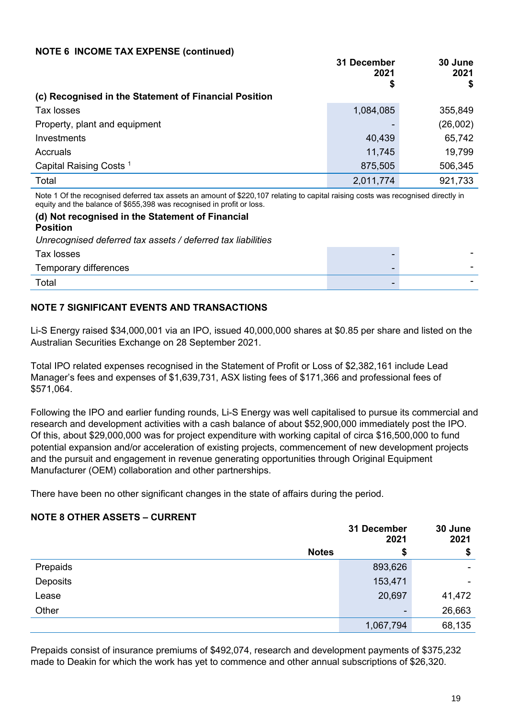#### **NOTE 6 INCOME TAX EXPENSE (continued)**

|                                                                                                                                 | 31 December<br>2021<br>\$ | 30 June<br>2021 |
|---------------------------------------------------------------------------------------------------------------------------------|---------------------------|-----------------|
| (c) Recognised in the Statement of Financial Position                                                                           |                           |                 |
| Tax losses                                                                                                                      | 1,084,085                 | 355,849         |
| Property, plant and equipment                                                                                                   |                           | (26,002)        |
| <b>Investments</b>                                                                                                              | 40,439                    | 65,742          |
| Accruals                                                                                                                        | 11,745                    | 19,799          |
| Capital Raising Costs <sup>1</sup>                                                                                              | 875,505                   | 506,345         |
| Total                                                                                                                           | 2,011,774                 | 921,733         |
| Nets A Of the receiving defensed to constant on opposite of COO AOT relative to conital rejoins again use receiving directly in |                           |                 |

Note 1 Of the recognised deferred tax assets an amount of \$220,107 relating to capital raising costs was recognised directly in equity and the balance of \$655,398 was recognised in profit or loss.

#### **(d) Not recognised in the Statement of Financial Position** *Unrecognised deferred tax assets / deferred tax liabilities*

| Tax losses            | $\overline{\phantom{0}}$ | - |
|-----------------------|--------------------------|---|
| Temporary differences | -                        | - |
| Total                 | $\sim$                   |   |

#### **NOTE 7 SIGNIFICANT EVENTS AND TRANSACTIONS**

Li-S Energy raised \$34,000,001 via an IPO, issued 40,000,000 shares at \$0.85 per share and listed on the Australian Securities Exchange on 28 September 2021.

Total IPO related expenses recognised in the Statement of Profit or Loss of \$2,382,161 include Lead Manager's fees and expenses of \$1,639,731, ASX listing fees of \$171,366 and professional fees of \$571,064.

Following the IPO and earlier funding rounds, Li-S Energy was well capitalised to pursue its commercial and research and development activities with a cash balance of about \$52,900,000 immediately post the IPO. Of this, about \$29,000,000 was for project expenditure with working capital of circa \$16,500,000 to fund potential expansion and/or acceleration of existing projects, commencement of new development projects and the pursuit and engagement in revenue generating opportunities through Original Equipment Manufacturer (OEM) collaboration and other partnerships.

There have been no other significant changes in the state of affairs during the period.

#### **NOTE 8 OTHER ASSETS – CURRENT**

|          | 31 December<br>2021 |           | 30 June<br>2021 |
|----------|---------------------|-----------|-----------------|
|          | <b>Notes</b>        | \$        | \$              |
| Prepaids |                     | 893,626   | ۰               |
| Deposits |                     | 153,471   |                 |
| Lease    |                     | 20,697    | 41,472          |
| Other    |                     | $\,$      | 26,663          |
|          |                     | 1,067,794 | 68,135          |

Prepaids consist of insurance premiums of \$492,074, research and development payments of \$375,232 made to Deakin for which the work has yet to commence and other annual subscriptions of \$26,320.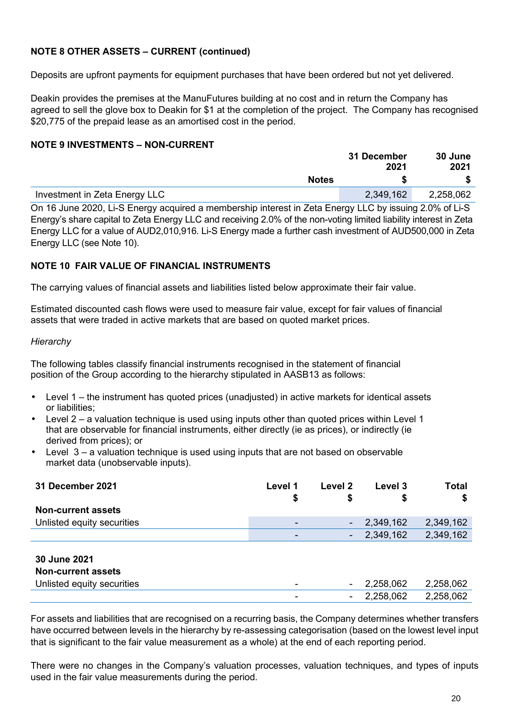#### **NOTE 8 OTHER ASSETS – CURRENT (continued)**

Deposits are upfront payments for equipment purchases that have been ordered but not yet delivered.

Deakin provides the premises at the ManuFutures building at no cost and in return the Company has agreed to sell the glove box to Deakin for \$1 at the completion of the project. The Company has recognised \$20,775 of the prepaid lease as an amortised cost in the period.

#### **NOTE 9 INVESTMENTS – NON-CURRENT**

|                                                                                                                     | 31 December<br>2021 | 30 June<br>2021 |
|---------------------------------------------------------------------------------------------------------------------|---------------------|-----------------|
| <b>Notes</b>                                                                                                        |                     |                 |
| Investment in Zeta Energy LLC                                                                                       | 2,349,162           | 2,258,062       |
| $0.942$ line $2020.1$ ; C. Frogram continued a momborobin internet in Zeta Frogram II.C. by incuring 2.00/ of Li.C. |                     |                 |

On 16 June 2020, Li-S Energy acquired a membership interest in Zeta Energy LLC by issuing 2.0% of Li-S Energy's share capital to Zeta Energy LLC and receiving 2.0% of the non-voting limited liability interest in Zeta Energy LLC for a value of AUD2,010,916. Li-S Energy made a further cash investment of AUD500,000 in Zeta Energy LLC (see Note 10).

#### **NOTE 10 FAIR VALUE OF FINANCIAL INSTRUMENTS**

The carrying values of financial assets and liabilities listed below approximate their fair value.

Estimated discounted cash flows were used to measure fair value, except for fair values of financial assets that were traded in active markets that are based on quoted market prices.

#### *Hierarchy*

The following tables classify financial instruments recognised in the statement of financial position of the Group according to the hierarchy stipulated in AASB13 as follows:

- Level 1 the instrument has quoted prices (unadjusted) in active markets for identical assets or liabilities;
- Level  $2 a$  valuation technique is used using inputs other than quoted prices within Level 1 that are observable for financial instruments, either directly (ie as prices), or indirectly (ie derived from prices); or
- Level  $3 a$  valuation technique is used using inputs that are not based on observable market data (unobservable inputs).

| 31 December 2021           | Level 1 | Level 2 | Level 3   | <b>Total</b> |
|----------------------------|---------|---------|-----------|--------------|
|                            | \$      | \$      | \$        | \$           |
| <b>Non-current assets</b>  |         |         |           |              |
| Unlisted equity securities | ۰       | ۰       | 2,349,162 | 2,349,162    |
|                            | ۰       |         | 2,349,162 | 2,349,162    |
|                            |         |         |           |              |
| <b>30 June 2021</b>        |         |         |           |              |
| <b>Non-current assets</b>  |         |         |           |              |
| Unlisted equity securities |         |         | 2,258,062 | 2,258,062    |
|                            | ۰       |         | 2,258,062 | 2,258,062    |

For assets and liabilities that are recognised on a recurring basis, the Company determines whether transfers have occurred between levels in the hierarchy by re-assessing categorisation (based on the lowest level input that is significant to the fair value measurement as a whole) at the end of each reporting period.

There were no changes in the Company's valuation processes, valuation techniques, and types of inputs used in the fair value measurements during the period.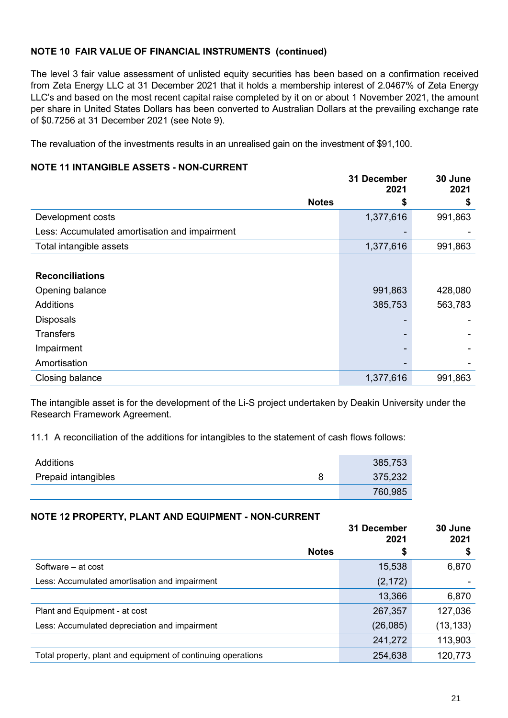#### **NOTE 10 FAIR VALUE OF FINANCIAL INSTRUMENTS (continued)**

The level 3 fair value assessment of unlisted equity securities has been based on a confirmation received from Zeta Energy LLC at 31 December 2021 that it holds a membership interest of 2.0467% of Zeta Energy LLC's and based on the most recent capital raise completed by it on or about 1 November 2021, the amount per share in United States Dollars has been converted to Australian Dollars at the prevailing exchange rate of \$0.7256 at 31 December 2021 (see Note 9).

The revaluation of the investments results in an unrealised gain on the investment of \$91,100.

#### **NOTE 11 INTANGIBLE ASSETS - NON-CURRENT**

|                                               | 31 December<br>2021 | 30 June<br>2021 |
|-----------------------------------------------|---------------------|-----------------|
| <b>Notes</b>                                  | \$                  | \$              |
| Development costs                             | 1,377,616           | 991,863         |
| Less: Accumulated amortisation and impairment |                     |                 |
| Total intangible assets                       | 1,377,616           | 991,863         |
|                                               |                     |                 |
| <b>Reconciliations</b>                        |                     |                 |
| Opening balance                               | 991,863             | 428,080         |
| <b>Additions</b>                              | 385,753             | 563,783         |
| <b>Disposals</b>                              |                     |                 |
| <b>Transfers</b>                              |                     |                 |
| Impairment                                    |                     |                 |
| Amortisation                                  |                     |                 |
| Closing balance                               | 1,377,616           | 991,863         |

The intangible asset is for the development of the Li-S project undertaken by Deakin University under the Research Framework Agreement.

11.1 A reconciliation of the additions for intangibles to the statement of cash flows follows:

| Additions           | 385,753 |
|---------------------|---------|
| Prepaid intangibles | 375,232 |
|                     | 760,985 |

#### **NOTE 12 PROPERTY, PLANT AND EQUIPMENT - NON-CURRENT**

|                                                              | 31 December<br>2021 | 30 June<br>2021 |
|--------------------------------------------------------------|---------------------|-----------------|
| <b>Notes</b>                                                 | \$                  | \$              |
| Software – at cost                                           | 15,538              | 6,870           |
| Less: Accumulated amortisation and impairment                | (2, 172)            |                 |
|                                                              | 13,366              | 6,870           |
| Plant and Equipment - at cost                                | 267,357             | 127,036         |
| Less: Accumulated depreciation and impairment                | (26, 085)           | (13, 133)       |
|                                                              | 241,272             | 113,903         |
| Total property, plant and equipment of continuing operations | 254,638             | 120,773         |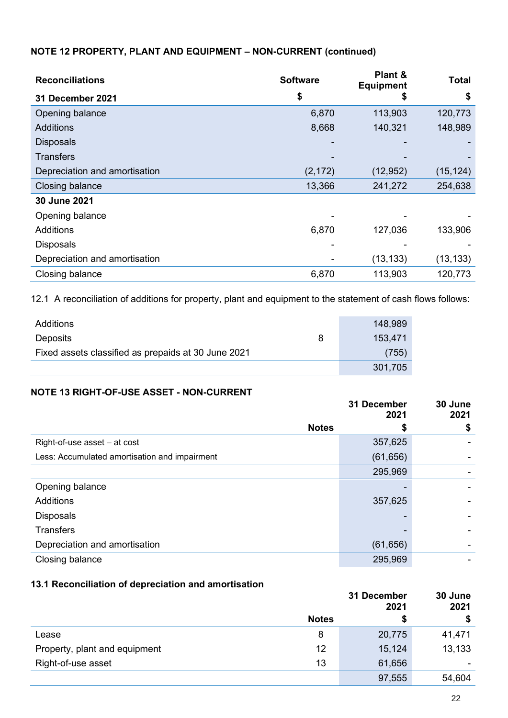#### **NOTE 12 PROPERTY, PLANT AND EQUIPMENT – NON-CURRENT (continued)**

| <b>Reconciliations</b>        | <b>Software</b> | Plant &<br><b>Equipment</b> | <b>Total</b> |
|-------------------------------|-----------------|-----------------------------|--------------|
| 31 December 2021              | \$              | \$                          | \$           |
| Opening balance               | 6,870           | 113,903                     | 120,773      |
| <b>Additions</b>              | 8,668           | 140,321                     | 148,989      |
| <b>Disposals</b>              |                 |                             |              |
| <b>Transfers</b>              |                 |                             |              |
| Depreciation and amortisation | (2, 172)        | (12, 952)                   | (15, 124)    |
| Closing balance               | 13,366          | 241,272                     | 254,638      |
| 30 June 2021                  |                 |                             |              |
| Opening balance               |                 |                             |              |
| <b>Additions</b>              | 6,870           | 127,036                     | 133,906      |
| <b>Disposals</b>              |                 |                             |              |
| Depreciation and amortisation |                 | (13, 133)                   | (13, 133)    |
| Closing balance               | 6,870           | 113,903                     | 120,773      |

12.1 A reconciliation of additions for property, plant and equipment to the statement of cash flows follows:

| Additions                                           | 148,989 |
|-----------------------------------------------------|---------|
| Deposits<br>8                                       | 153.471 |
| Fixed assets classified as prepaids at 30 June 2021 | (755)   |
|                                                     | 301,705 |

#### **NOTE 13 RIGHT-OF-USE ASSET - NON-CURRENT**

|                                               | 31 December<br>2021 | 30 June<br>2021 |
|-----------------------------------------------|---------------------|-----------------|
| <b>Notes</b>                                  | 5                   | \$              |
| Right-of-use asset - at cost                  | 357,625             |                 |
| Less: Accumulated amortisation and impairment | (61, 656)           |                 |
|                                               | 295,969             |                 |
| Opening balance                               |                     |                 |
| <b>Additions</b>                              | 357,625             |                 |
| <b>Disposals</b>                              |                     |                 |
| <b>Transfers</b>                              |                     |                 |
| Depreciation and amortisation                 | (61, 656)           |                 |
| Closing balance                               | 295,969             |                 |

#### **13.1 Reconciliation of depreciation and amortisation**

|                               |              | 31 December<br>2021 |        |
|-------------------------------|--------------|---------------------|--------|
|                               | <b>Notes</b> |                     | \$     |
| Lease                         | 8            | 20,775              | 41,471 |
| Property, plant and equipment | 12           | 15,124              | 13,133 |
| Right-of-use asset            | 13           | 61,656              |        |
|                               |              | 97,555              | 54,604 |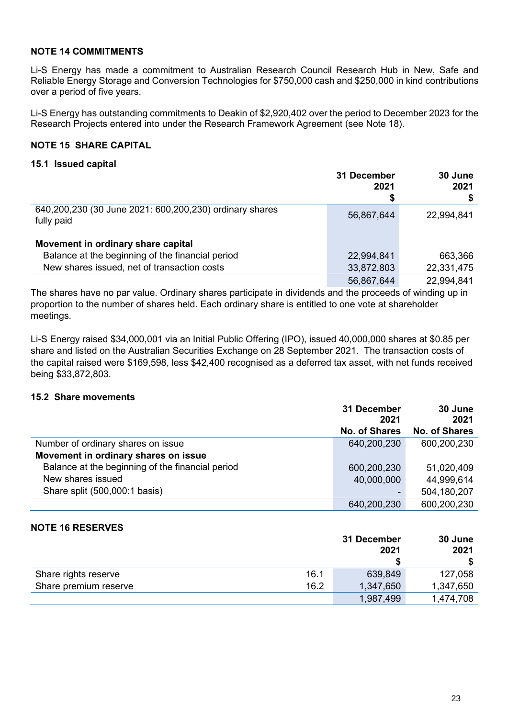#### **NOTE 14 COMMITMENTS**

Li-S Energy has made a commitment to Australian Research Council Research Hub in New, Safe and Reliable Energy Storage and Conversion Technologies for \$750,000 cash and \$250,000 in kind contributions over a period of five years.

Li-S Energy has outstanding commitments to Deakin of \$2,920,402 over the period to December 2023 for the Research Projects entered into under the Research Framework Agreement (see Note 18).

#### **NOTE 15 SHARE CAPITAL**

#### **15.1 Issued capital**

|                                                                       | 31 December<br>2021<br>\$ | 30 June<br>2021 |
|-----------------------------------------------------------------------|---------------------------|-----------------|
| 640,200,230 (30 June 2021: 600,200,230) ordinary shares<br>fully paid | 56,867,644                | 22,994,841      |
| Movement in ordinary share capital                                    |                           |                 |
| Balance at the beginning of the financial period                      | 22,994,841                | 663,366         |
| New shares issued, net of transaction costs                           | 33,872,803                | 22,331,475      |
|                                                                       | 56,867,644                | 22,994,841      |

The shares have no par value. Ordinary shares participate in dividends and the proceeds of winding up in proportion to the number of shares held. Each ordinary share is entitled to one vote at shareholder meetings.

Li-S Energy raised \$34,000,001 via an Initial Public Offering (IPO), issued 40,000,000 shares at \$0.85 per share and listed on the Australian Securities Exchange on 28 September 2021. The transaction costs of the capital raised were \$169,598, less \$42,400 recognised as a deferred tax asset, with net funds received being \$33,872,803.

#### **15.2 Share movements**

|                                                  | 31 December<br>2021  | 30 June<br>2021      |
|--------------------------------------------------|----------------------|----------------------|
|                                                  | <b>No. of Shares</b> | <b>No. of Shares</b> |
| Number of ordinary shares on issue               | 640,200,230          | 600,200,230          |
| Movement in ordinary shares on issue             |                      |                      |
| Balance at the beginning of the financial period | 600,200,230          | 51,020,409           |
| New shares issued                                | 40,000,000           | 44,999,614           |
| Share split (500,000:1 basis)                    |                      | 504,180,207          |
|                                                  | 640,200,230          | 600,200,230          |

#### **NOTE 16 RESERVES**

|                       |      | 31 December<br>2021 | 30 June<br>2021 |
|-----------------------|------|---------------------|-----------------|
| Share rights reserve  | 16.1 | 639,849             | 127,058         |
| Share premium reserve | 16.2 | 1,347,650           | 1,347,650       |
|                       |      | 1,987,499           | 1,474,708       |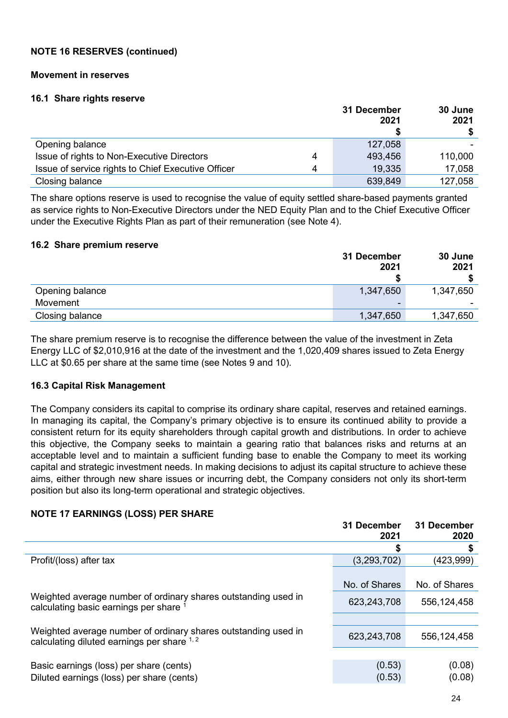#### **NOTE 16 RESERVES (continued)**

#### **Movement in reserves**

#### **16.1 Share rights reserve**

|                                                    |   | 31 December<br>2021 | 30 June<br>2021 |
|----------------------------------------------------|---|---------------------|-----------------|
|                                                    |   |                     |                 |
| Opening balance                                    |   | 127,058             |                 |
| Issue of rights to Non-Executive Directors         | 4 | 493,456             | 110,000         |
| Issue of service rights to Chief Executive Officer | 4 | 19,335              | 17,058          |
| Closing balance                                    |   | 639,849             | 127,058         |

The share options reserve is used to recognise the value of equity settled share-based payments granted as service rights to Non-Executive Directors under the NED Equity Plan and to the Chief Executive Officer under the Executive Rights Plan as part of their remuneration (see Note 4).

#### **16.2 Share premium reserve**

|                 | 31 December<br>2021 | 30 June<br>2021 |
|-----------------|---------------------|-----------------|
| Opening balance | 1,347,650           | 1,347,650       |
| Movement        | -                   |                 |
| Closing balance | 1,347,650           | 1,347,650       |

The share premium reserve is to recognise the difference between the value of the investment in Zeta Energy LLC of \$2,010,916 at the date of the investment and the 1,020,409 shares issued to Zeta Energy LLC at \$0.65 per share at the same time (see Notes 9 and 10).

#### **16.3 Capital Risk Management**

The Company considers its capital to comprise its ordinary share capital, reserves and retained earnings. In managing its capital, the Company's primary objective is to ensure its continued ability to provide a consistent return for its equity shareholders through capital growth and distributions. In order to achieve this objective, the Company seeks to maintain a gearing ratio that balances risks and returns at an acceptable level and to maintain a sufficient funding base to enable the Company to meet its working capital and strategic investment needs. In making decisions to adjust its capital structure to achieve these aims, either through new share issues or incurring debt, the Company considers not only its short-term position but also its long-term operational and strategic objectives.

#### **31 December 2021 31 December 2020 \$ \$** Profit/(loss) after tax (3,293,702) (423,999) No. of Shares No. of Shares Weighted average number of ordinary shares outstanding used in The veighted average number of ordinary shares outstanding used in the 623,243,708 556,124,458<br>calculating basic earnings per share <sup>1</sup> Weighted average number of ordinary shares outstanding used in Exercise average named of ordinary shares outstanding used in  $623,243,708$   $556,124,458$ <br>calculating diluted earnings per share  $1,2$ Basic earnings (loss) per share (cents) (0.53) (0.08) Diluted earnings (loss) per share (cents) (0.53) (0.08)

#### **NOTE 17 EARNINGS (LOSS) PER SHARE**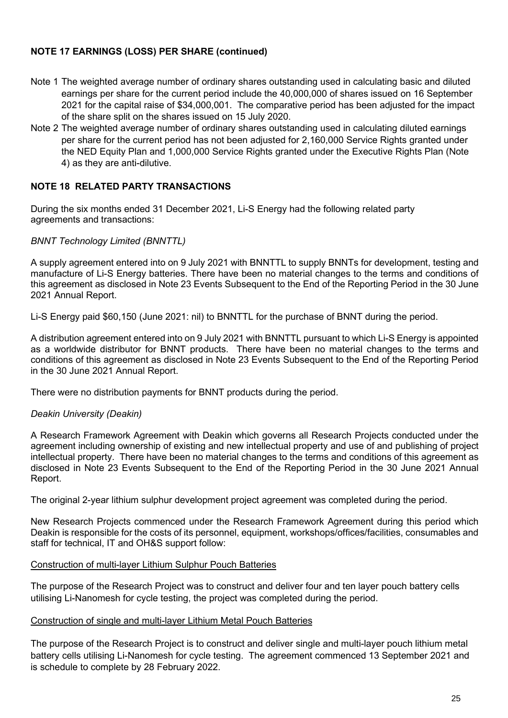#### **NOTE 17 EARNINGS (LOSS) PER SHARE (continued)**

- Note 1 The weighted average number of ordinary shares outstanding used in calculating basic and diluted earnings per share for the current period include the 40,000,000 of shares issued on 16 September 2021 for the capital raise of \$34,000,001. The comparative period has been adjusted for the impact of the share split on the shares issued on 15 July 2020.
- Note 2 The weighted average number of ordinary shares outstanding used in calculating diluted earnings per share for the current period has not been adjusted for 2,160,000 Service Rights granted under the NED Equity Plan and 1,000,000 Service Rights granted under the Executive Rights Plan (Note 4) as they are anti-dilutive.

#### **NOTE 18 RELATED PARTY TRANSACTIONS**

During the six months ended 31 December 2021, Li-S Energy had the following related party agreements and transactions:

#### *BNNT Technology Limited (BNNTTL)*

A supply agreement entered into on 9 July 2021 with BNNTTL to supply BNNTs for development, testing and manufacture of Li-S Energy batteries. There have been no material changes to the terms and conditions of this agreement as disclosed in Note 23 Events Subsequent to the End of the Reporting Period in the 30 June 2021 Annual Report.

Li-S Energy paid \$60,150 (June 2021: nil) to BNNTTL for the purchase of BNNT during the period.

A distribution agreement entered into on 9 July 2021 with BNNTTL pursuant to which Li-S Energy is appointed as a worldwide distributor for BNNT products. There have been no material changes to the terms and conditions of this agreement as disclosed in Note 23 Events Subsequent to the End of the Reporting Period in the 30 June 2021 Annual Report.

There were no distribution payments for BNNT products during the period.

#### *Deakin University (Deakin)*

A Research Framework Agreement with Deakin which governs all Research Projects conducted under the agreement including ownership of existing and new intellectual property and use of and publishing of project intellectual property. There have been no material changes to the terms and conditions of this agreement as disclosed in Note 23 Events Subsequent to the End of the Reporting Period in the 30 June 2021 Annual Report.

The original 2-year lithium sulphur development project agreement was completed during the period.

New Research Projects commenced under the Research Framework Agreement during this period which Deakin is responsible for the costs of its personnel, equipment, workshops/offices/facilities, consumables and staff for technical, IT and OH&S support follow:

#### Construction of multi-layer Lithium Sulphur Pouch Batteries

The purpose of the Research Project was to construct and deliver four and ten layer pouch battery cells utilising Li-Nanomesh for cycle testing, the project was completed during the period.

#### Construction of single and multi-layer Lithium Metal Pouch Batteries

The purpose of the Research Project is to construct and deliver single and multi-layer pouch lithium metal battery cells utilising Li-Nanomesh for cycle testing. The agreement commenced 13 September 2021 and is schedule to complete by 28 February 2022.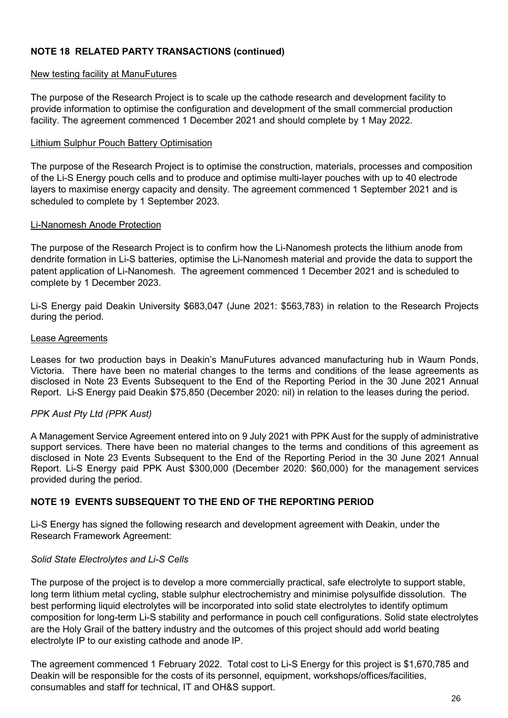#### **NOTE 18 RELATED PARTY TRANSACTIONS (continued)**

#### New testing facility at ManuFutures

The purpose of the Research Project is to scale up the cathode research and development facility to provide information to optimise the configuration and development of the small commercial production facility. The agreement commenced 1 December 2021 and should complete by 1 May 2022.

#### Lithium Sulphur Pouch Battery Optimisation

The purpose of the Research Project is to optimise the construction, materials, processes and composition of the Li-S Energy pouch cells and to produce and optimise multi-layer pouches with up to 40 electrode layers to maximise energy capacity and density. The agreement commenced 1 September 2021 and is scheduled to complete by 1 September 2023.

#### Li-Nanomesh Anode Protection

The purpose of the Research Project is to confirm how the Li-Nanomesh protects the lithium anode from dendrite formation in Li-S batteries, optimise the Li-Nanomesh material and provide the data to support the patent application of Li-Nanomesh. The agreement commenced 1 December 2021 and is scheduled to complete by 1 December 2023.

Li-S Energy paid Deakin University \$683,047 (June 2021: \$563,783) in relation to the Research Projects during the period.

#### Lease Agreements

Leases for two production bays in Deakin's ManuFutures advanced manufacturing hub in Waurn Ponds, Victoria. There have been no material changes to the terms and conditions of the lease agreements as disclosed in Note 23 Events Subsequent to the End of the Reporting Period in the 30 June 2021 Annual Report. Li-S Energy paid Deakin \$75,850 (December 2020: nil) in relation to the leases during the period.

#### *PPK Aust Pty Ltd (PPK Aust)*

A Management Service Agreement entered into on 9 July 2021 with PPK Aust for the supply of administrative support services. There have been no material changes to the terms and conditions of this agreement as disclosed in Note 23 Events Subsequent to the End of the Reporting Period in the 30 June 2021 Annual Report. Li-S Energy paid PPK Aust \$300,000 (December 2020: \$60,000) for the management services provided during the period.

#### **NOTE 19 EVENTS SUBSEQUENT TO THE END OF THE REPORTING PERIOD**

Li-S Energy has signed the following research and development agreement with Deakin, under the Research Framework Agreement:

#### *Solid State Electrolytes and Li-S Cells*

The purpose of the project is to develop a more commercially practical, safe electrolyte to support stable, long term lithium metal cycling, stable sulphur electrochemistry and minimise polysulfide dissolution. The best performing liquid electrolytes will be incorporated into solid state electrolytes to identify optimum composition for long-term Li-S stability and performance in pouch cell configurations. Solid state electrolytes are the Holy Grail of the battery industry and the outcomes of this project should add world beating electrolyte IP to our existing cathode and anode IP.

The agreement commenced 1 February 2022. Total cost to Li-S Energy for this project is \$1,670,785 and Deakin will be responsible for the costs of its personnel, equipment, workshops/offices/facilities, consumables and staff for technical, IT and OH&S support.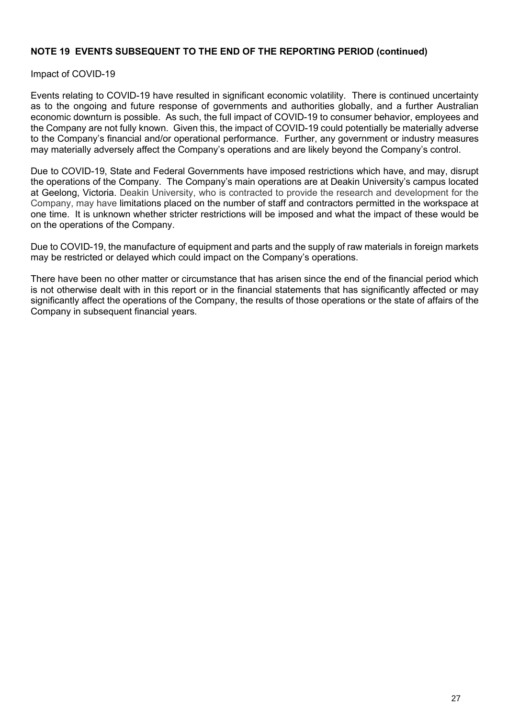#### **NOTE 19 EVENTS SUBSEQUENT TO THE END OF THE REPORTING PERIOD (continued)**

Impact of COVID-19

Events relating to COVID-19 have resulted in significant economic volatility. There is continued uncertainty as to the ongoing and future response of governments and authorities globally, and a further Australian economic downturn is possible. As such, the full impact of COVID-19 to consumer behavior, employees and the Company are not fully known. Given this, the impact of COVID-19 could potentially be materially adverse to the Company's financial and/or operational performance. Further, any government or industry measures may materially adversely affect the Company's operations and are likely beyond the Company's control.

Due to COVID-19, State and Federal Governments have imposed restrictions which have, and may, disrupt the operations of the Company. The Company's main operations are at Deakin University's campus located at Geelong, Victoria. Deakin University, who is contracted to provide the research and development for the Company, may have limitations placed on the number of staff and contractors permitted in the workspace at one time. It is unknown whether stricter restrictions will be imposed and what the impact of these would be on the operations of the Company.

Due to COVID-19, the manufacture of equipment and parts and the supply of raw materials in foreign markets may be restricted or delayed which could impact on the Company's operations.

There have been no other matter or circumstance that has arisen since the end of the financial period which is not otherwise dealt with in this report or in the financial statements that has significantly affected or may significantly affect the operations of the Company, the results of those operations or the state of affairs of the Company in subsequent financial years.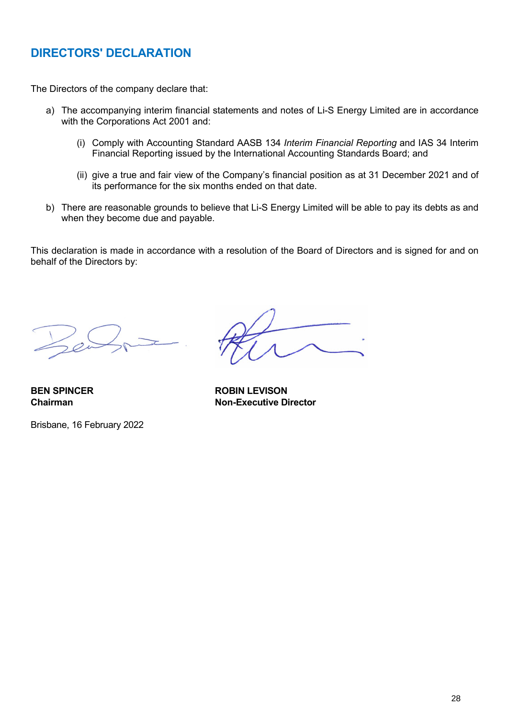# **DIRECTORS' DECLARATION**

The Directors of the company declare that:

- a) The accompanying interim financial statements and notes of Li-S Energy Limited are in accordance with the Corporations Act 2001 and:
	- (i) Comply with Accounting Standard AASB 134 *Interim Financial Reporting* and IAS 34 Interim Financial Reporting issued by the International Accounting Standards Board; and
	- (ii) give a true and fair view of the Company's financial position as at 31 December 2021 and of its performance for the six months ended on that date.
- b) There are reasonable grounds to believe that Li-S Energy Limited will be able to pay its debts as and when they become due and payable.

This declaration is made in accordance with a resolution of the Board of Directors and is signed for and on behalf of the Directors by:

Brisbane, 16 February 2022

**BEN SPINCER ROBIN LEVISON Chairman Non-Executive Director**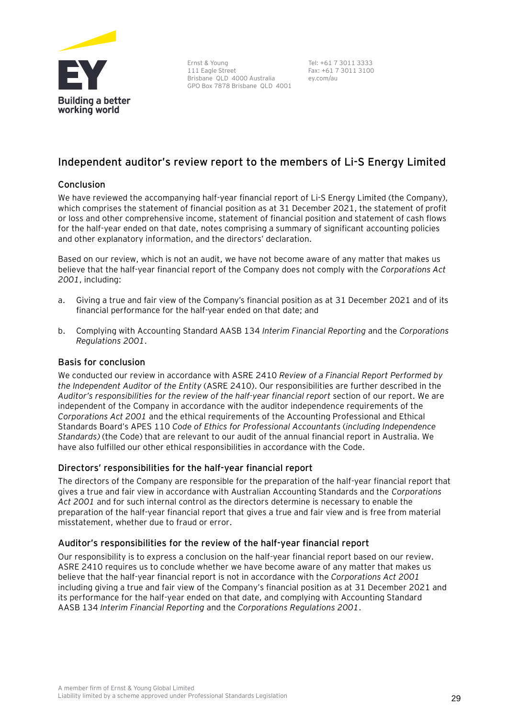

Ernst & Young 111 Eagle Street Brisbane QLD 4000 Australia GPO Box 7878 Brisbane QLD 4001

Tel: +61 7 3011 3333 Fax: +61 7 3011 3100 ey.com/au

#### **Independent auditor's review report to the members of Li-S Energy Limited**

#### **Conclusion**

We have reviewed the accompanying half-year financial report of Li-S Energy Limited (the Company), which comprises the statement of financial position as at 31 December 2021, the statement of profit or loss and other comprehensive income, statement of financial position and statement of cash flows for the half-year ended on that date, notes comprising a summary of significant accounting policies and other explanatory information, and the directors' declaration.

Based on our review, which is not an audit, we have not become aware of any matter that makes us believe that the half-year financial report of the Company does not comply with the *Corporations Act 2001*, including:

- a. Giving a true and fair view of the Company's financial position as at 31 December 2021 and of its financial performance for the half-year ended on that date; and
- b. Complying with Accounting Standard AASB 134 *Interim Financial Reporting* and the *Corporations Regulations 2001*.

#### **Basis for conclusion**

We conducted our review in accordance with ASRE 2410 *Review of a Financial Report Performed by the Independent Auditor of the Entity* (ASRE 2410). Our responsibilities are further described in the *Auditor's responsibilities for the review of the half-year financial report* section of our report. We are independent of the Company in accordance with the auditor independence requirements of the *Corporations Act 2001* and the ethical requirements of the Accounting Professional and Ethical Standards Board's APES 110 *Code of Ethics for Professional Accountants* (*including Independence Standards)* (the Code) that are relevant to our audit of the annual financial report in Australia. We have also fulfilled our other ethical responsibilities in accordance with the Code.

#### **Directors' responsibilities for the half-year financial report**

The directors of the Company are responsible for the preparation of the half-year financial report that gives a true and fair view in accordance with Australian Accounting Standards and the *Corporations Act 2001* and for such internal control as the directors determine is necessary to enable the preparation of the half-year financial report that gives a true and fair view and is free from material misstatement, whether due to fraud or error.

#### **Auditor's responsibilities for the review of the half-year financial report**

Our responsibility is to express a conclusion on the half-year financial report based on our review. ASRE 2410 requires us to conclude whether we have become aware of any matter that makes us believe that the half-year financial report is not in accordance with the *Corporations Act 2001* including giving a true and fair view of the Company's financial position as at 31 December 2021 and its performance for the half-year ended on that date, and complying with Accounting Standard AASB 134 *Interim Financial Reporting* and the *Corporations Regulations 2001*.